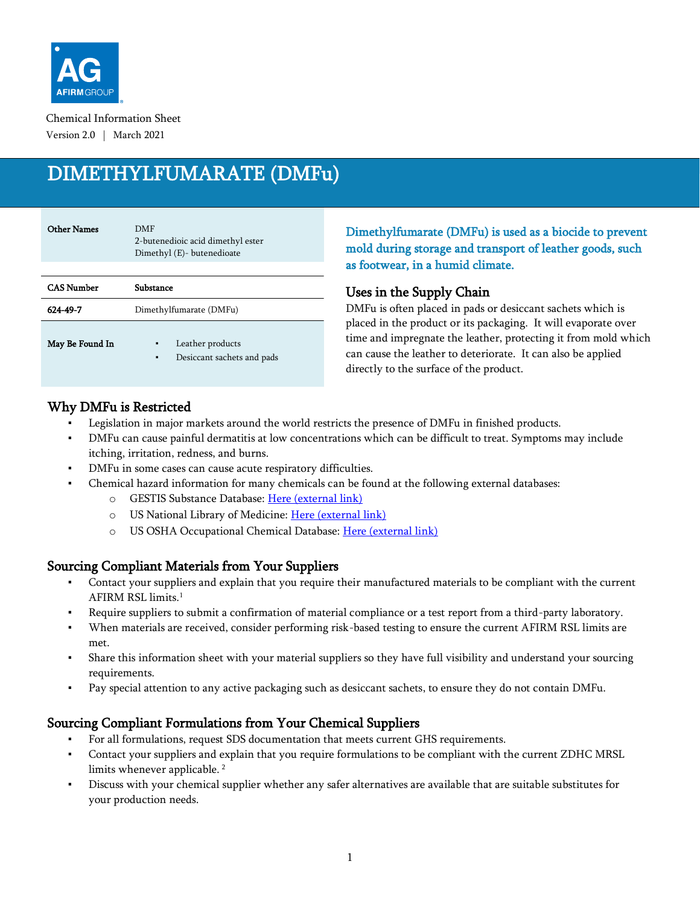

Chemical Information Sheet Version 2.0 | March 2021

# DIMETHYLFUMARATE (DMFu)

| <b>Other Names</b> | <b>DMF</b><br>2-butenedioic acid dimethyl ester<br>Dimethyl (E)- butenedioate |
|--------------------|-------------------------------------------------------------------------------|
| <b>CAS Number</b>  | Substance                                                                     |
| 624-49-7           | Dimethylfumarate (DMFu)                                                       |
| May Be Found In    | Leather products<br>٠<br>Desiccant sachets and pads<br>٠                      |

### Dimethylfumarate (DMFu) is used as a biocide to prevent mold during storage and transport of leather goods, such as footwear, in a humid climate.

#### Uses in the Supply Chain

DMFu is often placed in pads or desiccant sachets which is placed in the product or its packaging. It will evaporate over time and impregnate the leather, protecting it from mold which can cause the leather to deteriorate. It can also be applied directly to the surface of the product.

# Why DMFu is Restricted

- Legislation in major markets around the world restricts the presence of DMFu in finished products.
- DMFu can cause painful dermatitis at low concentrations which can be difficult to treat. Symptoms may include itching, irritation, redness, and burns.
- DMFu in some cases can cause acute respiratory difficulties.
- Chemical hazard information for many chemicals can be found at the following external databases:
	- o GESTIS Substance Database: [Here \(external link\)](https://gestis-database.dguv.de/search)
	- o US National Library of Medicine: [Here \(external link\)](https://pubchem.ncbi.nlm.nih.gov/)
	- o US OSHA Occupational Chemical Database: [Here \(external link\)](https://www.osha.gov/chemicaldata/index.html)

#### Sourcing Compliant Materials from Your Suppliers

- Contact your suppliers and explain that you require their manufactured materials to be compliant with the current AFIRM RSL limits. 1
- Require suppliers to submit a confirmation of material compliance or a test report from a third-party laboratory.
- When materials are received, consider performing risk-based testing to ensure the current AFIRM RSL limits are met.
- Share this information sheet with your material suppliers so they have full visibility and understand your sourcing requirements.
- Pay special attention to any active packaging such as desiccant sachets, to ensure they do not contain DMFu.

# Sourcing Compliant Formulations from Your Chemical Suppliers

- For all formulations, request SDS documentation that meets current GHS requirements.
- Contact your suppliers and explain that you require formulations to be compliant with the current ZDHC MRSL limits whenever applicable. <sup>2</sup>
- Discuss with your chemical supplier whether any safer alternatives are available that are suitable substitutes for your production needs.